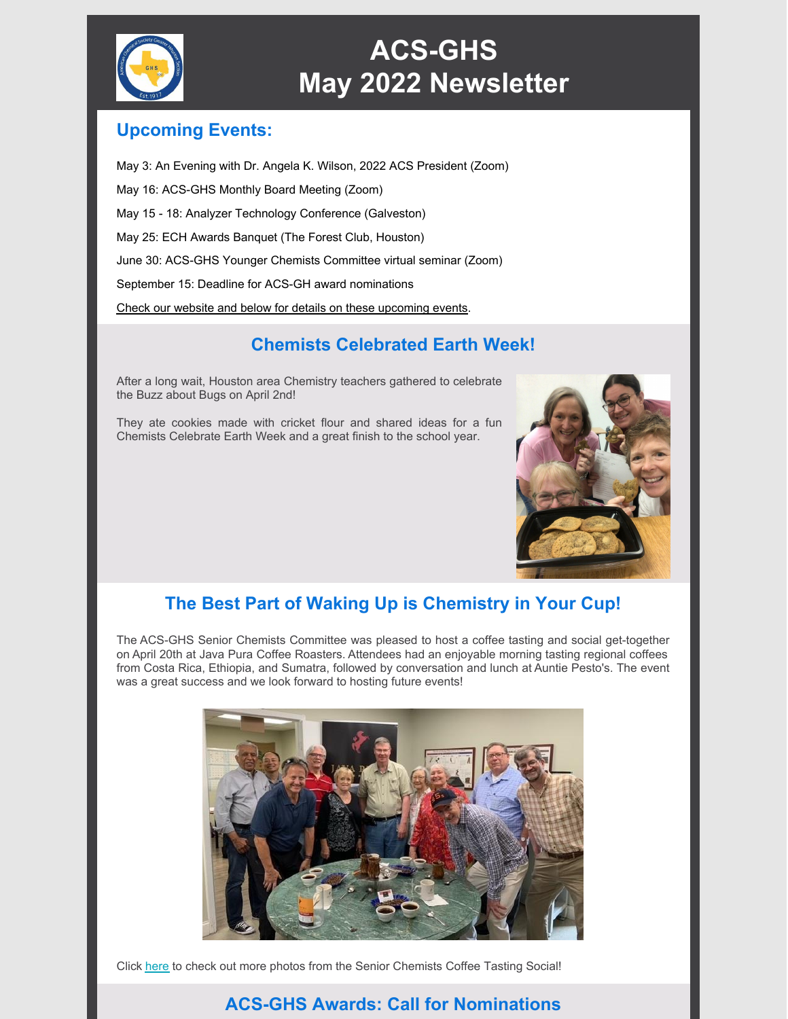

# **ACS-GHS May 2022 Newsletter**

### **Upcoming Events:**

May 3: An Evening with Dr. Angela K. Wilson, 2022 ACS President (Zoom) May 16: ACS-GHS Monthly Board Meeting (Zoom) May 15 - 18: Analyzer Technology Conference (Galveston) May 25: ECH Awards Banquet (The Forest Club, Houston) June 30: ACS-GHS Younger Chemists Committee virtual seminar (Zoom) September 15: Deadline for ACS-GH award nominations

Check our website and below for details on these [upcoming](https://acsghs.wildapricot.org/) events.

# **Chemists Celebrated Earth Week!**

After a long wait, Houston area Chemistry teachers gathered to celebrate the Buzz about Bugs on April 2nd!

They ate cookies made with cricket flour and shared ideas for a fun Chemists Celebrate Earth Week and a great finish to the school year.



# **The Best Part of Waking Up is Chemistry in Your Cup!**

The ACS-GHS Senior Chemists Committee was pleased to host a coffee tasting and social get-together on April 20th at Java Pura Coffee Roasters. Attendees had an enjoyable morning tasting regional coffees from Costa Rica, Ethiopia, and Sumatra, followed by conversation and lunch at Auntie Pesto's. The event was a great success and we look forward to hosting future events!



Click [here](https://acsghs.wildapricot.org/Older-Posts/12742635) to check out more photos from the Senior Chemists Coffee Tasting Social!

# **ACS-GHS Awards: Call for Nominations**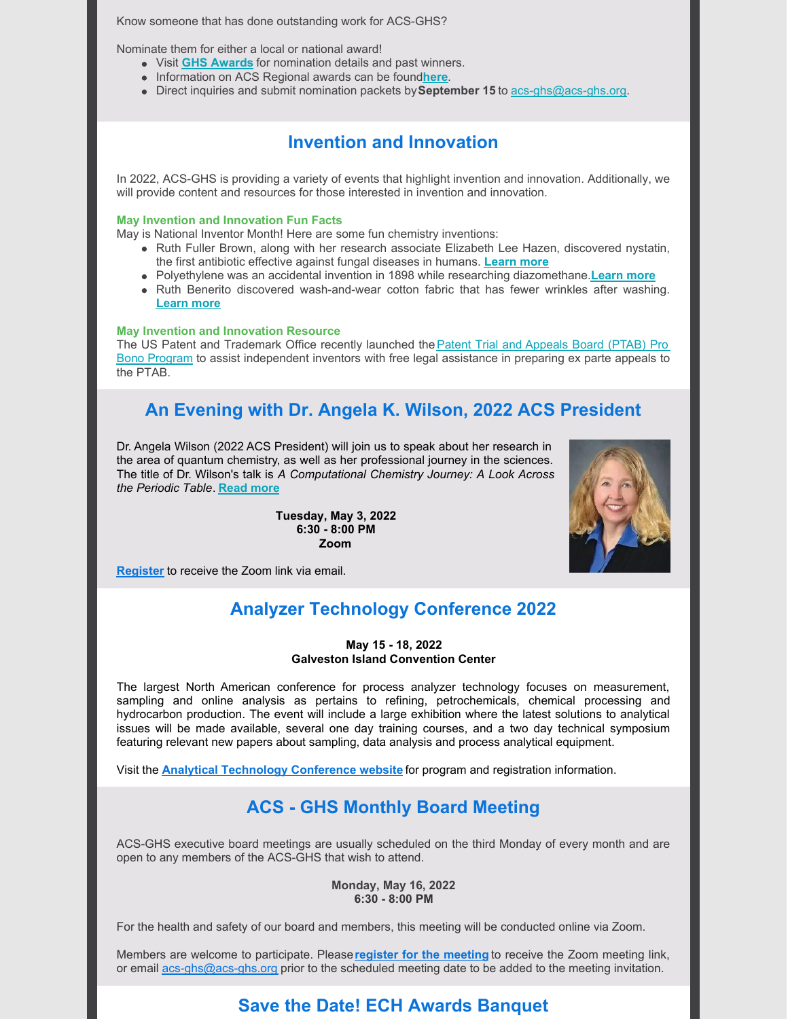Know someone that has done outstanding work for ACS-GHS?

Nominate them for either a local or national award!

- Visit **GHS [Awards](https://acsghs.wildapricot.org/awards)** for nomination details and past winners.
- **Information on ACS Regional awards can be found[here](https://www.acs.org/content/acs/en/funding.html).**
- Direct inquiries and submit nomination packets by**September 15** to [acs-ghs@acs-ghs.org](mailto:acs-ghs@acs-ghs.org).

#### **Invention and Innovation**

In 2022, ACS-GHS is providing a variety of events that highlight invention and innovation. Additionally, we will provide content and resources for those interested in invention and innovation.

#### **May Invention and Innovation Fun Facts**

May is National Inventor Month! Here are some fun chemistry inventions:

- Ruth Fuller Brown, along with her research associate Elizabeth Lee Hazen, discovered nystatin, the first antibiotic effective against fungal diseases in humans. **[Learn](https://www.mtholyoke.edu/175/gallery/rachel-fuller-brown) more**
- Polyethylene was an accidental invention in 1898 while researching diazomethane.**[Learn](https://en.wikipedia.org/wiki/Polyethylene#:~:text=Polyethylene was first synthesized by,in 1898 while investigating diazomethane) more**
- Ruth Benerito discovered wash-and-wear cotton fabric that has fewer wrinkles after washing. **[Learn](https://www.sciencehistory.org/historical-profile/ruth-benerito) more**

#### **May Invention and Innovation Resource**

The US Patent and Trademark Office recently launched the **Patent Trial and Appeals Board (PTAB) Pro** Bono Program to assist [independent](https://www.uspto.gov/patents/patent-trial-and-appeal-board/patent-trial-and-appeal-board-pro-bono-program-independent) inventors with free legal assistance in preparing ex parte appeals to the PTAB.

### **An Evening with Dr. Angela K. Wilson, 2022 ACS President**

Dr. Angela Wilson (2022 ACS President) will join us to speak about her research in the area of quantum chemistry, as well as her professional journey in the sciences. The title of Dr. Wilson's talk is *A Computational Chemistry Journey: A Look Across the Periodic Table*. **[Read](https://acsghs.wildapricot.org/event-4766110) more**

> **Tuesday, May 3, 2022 6:30 - 8:00 PM Zoom**



**[Register](https://acsghs.wildapricot.org/event-4766110)** to receive the Zoom link via email.

### **Analyzer Technology Conference 2022**

#### **May 15 - 18, 2022 Galveston Island Convention Center**

The largest North American conference for process analyzer technology focuses on measurement, sampling and online analysis as pertains to refining, petrochemicals, chemical processing and hydrocarbon production. The event will include a large exhibition where the latest solutions to analytical issues will be made available, several one day training courses, and a two day technical symposium featuring relevant new papers about sampling, data analysis and process analytical equipment.

Visit the **Analytical [Technology](https://www.makingmeasurementsmatter.com/atc) Conference website** for program and registration information.

### **ACS - GHS Monthly Board Meeting**

ACS-GHS executive board meetings are usually scheduled on the third Monday of every month and are open to any members of the ACS-GHS that wish to attend.

#### **Monday, May 16, 2022 6:30 - 8:00 PM**

For the health and safety of our board and members, this meeting will be conducted online via Zoom.

Members are welcome to participate. Please**register for the [meeting](https://acsghs.wildapricot.org/event-4703953/Registration)** to receive the Zoom meeting link, or email [acs-ghs@acs-ghs.org](mailto:acs-ghs@acs-ghs.org) prior to the scheduled meeting date to be added to the meeting invitation.

### **Save the Date! ECH Awards Banquet**